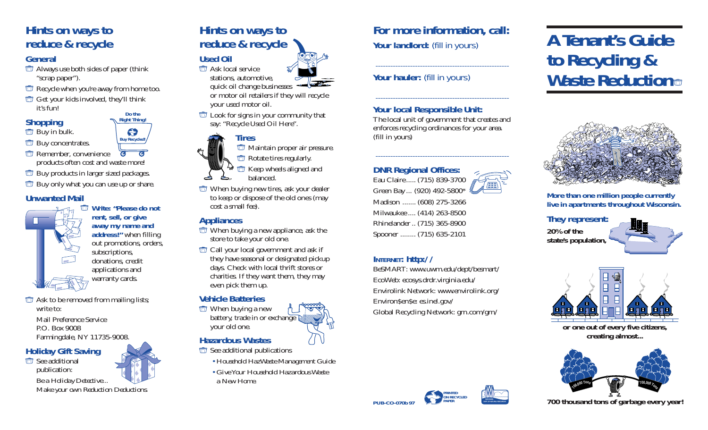## **Hints on ways to reduce & recycle**

#### **General**

- Always use both sides of paper (think "scrap paper").
- **Recycle when you're away from home too.**
- Get your kids involved, they'll think it's fun! **Do the**

## **Shopping**

#### *buy* in bulk.

- **Buy concentrates.**
- **The Remember, convenience**  $\overline{a}$  $\overline{c}$ products often cost and waste more!
- Buy products in larger sized packages.
- **Buy only what you can use up or share.**

#### **Unwanted Mail**



**Write: "Please do not rent, sell, or give away my name and address!"** when filling out promotions, orders, subscriptions, donations, credit applications and warranty cards.

**Right Thing!**

**Buy Recycled!**

G

 $\Box$  Ask to be removed from mailing lists; write to:

Mail Preference Service P.O. Box 9008 Farmingdale, NY 11735-9008.

#### **Holiday Gift Saving**

See additional publication:



*Make your own Reduction Deductions.*

# **Hints on ways to reduce & recycle**

**Used Oil 司** Ask local service stations, automotive,

quick oil change businesses or motor oil retailers if they will recycle

your used motor oil.

**Look** for signs in your community that say: "Recycle Used Oil Here".

## **Tires**

**The Maintain proper air pressure.** Rotate tires regularly.

Keep wheels aligned and balanced.

 $\Box$  When buying new tires, ask your dealer to keep or dispose of the old ones (may cost a small fee).

#### **Appliances**

- $\Box$  When buying a new appliance, ask the store to take your old one.
- Call your local government and ask if they have seasonal or designated pickup days. Check with local thrift stores or charities. If they want them, they may even pick them up.

#### **Vehicle Batteries**

 $\Box$  When buying a new battery, trade in or exchange your old one.

## **Hazardous Wastes**

- See additional publications
	- *Household HazWaste Management Guide*
	- *Give Your Household Hazardous Waste a New Home.*

## **For more information, call:** Your landlord: (fill in yours)

------------------------------------------------------

------------------------------------------------------

### Your hauler: (fill in yours)

## **Your local Responsible Unit:**

The local unit of government that creates and enforces recycling ordinances for your area. (fill in yours)

------------------------------------------------------

#### **DNR Regional Offices:**

Eau Claire ..... (715) 839-3700 Green Bay ... (920) 492-5800\* Madison ....... (608) 275-3266 Milwaukee .... (414) 263-8500 Rhinelander .. (715) 365-8900 Spooner ........ (715) 635-2101

#### **INTERNET: http://**

BeSMART: www.uwm.edu/dept/besmart/ EcoWeb: ecosys.drdr.virginia.edu/ Envirolink Network: www.envirolink.org/ Environ\$en\$e: es.inel.gov/ Global Recycling Network: grn.com/grn/

> **PRINTED ON RECYCLED PAPER**



**WISCONSIN DEPT. OF NATURAL RESOURCES**

# **A Tenant's Guide to Recycling & Waste Reduction**



**More than one million people currently live in apartments throughout Wisconsin.**

**They represent: 20% of the state's population,**





**or one out of every five citizens, creating almost...**